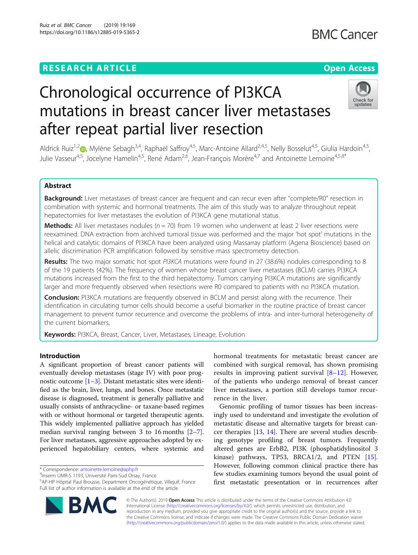## **RESEARCH ARTICLE Example 2018 12:30 THE Open Access**

## Check for undates

# after repeat partial liver resection

mutations in breast cancer liver metastases

Chronological occurrence of PI3KCA

Aldrick Ruiz<sup>1[,](http://orcid.org/0000-0002-9114-4311)2</sup> , Mylène Sebagh<sup>3,4</sup>, Raphaël Saffroy<sup>4,5</sup>, Marc-Antoine Allard<sup>2,4,5</sup>, Nelly Bosselut<sup>4,5</sup>, Giulia Hardoin<sup>4,5</sup>, Julie Vasseur<sup>4,5</sup>, Jocelyne Hamelin<sup>4,5</sup>, René Adam<sup>2,6</sup>, Jean-François Morère<sup>4,7</sup> and Antoinette Lemoine<sup>4,5,8\*</sup>

### Abstract

Background: Liver metastases of breast cancer are frequent and can recur even after "complete/R0" resection in combination with systemic and hormonal treatments. The aim of this study was to analyze throughout repeat hepatectomies for liver metastases the evolution of PI3KCA gene mutational status.

**Methods:** All liver metastases nodules ( $n = 70$ ) from 19 women who underwent at least 2 liver resections were reexamined. DNA extraction from archived tumoral tissue was performed and the major 'hot spot' mutations in the helical and catalytic domains of PI3KCA have been analyzed using Massarray platform (Agena Bioscience) based on allelic discrimination PCR amplification followed by sensitive mass spectrometry detection.

Results: The two major somatic hot spot PI3KCA mutations were found in 27 (38.6%) nodules corresponding to 8 of the 19 patients (42%). The frequency of women whose breast cancer liver metastases (BCLM) carries PI3KCA mutations increased from the first to the third hepatectomy. Tumors carrying PI3KCA mutations are significantly larger and more frequently observed when resections were R0 compared to patients with no PI3KCA mutation.

**Conclusion:** PI3KCA mutations are frequently observed in BCLM and persist along with the recurrence. Their identification in circulating tumor cells should become a useful biomarker in the routine practice of breast cancer management to prevent tumor recurrence and overcome the problems of intra- and inter-tumoral heterogeneity of the current biomarkers,

Keywords: PI3KCA, Breast, Cancer, Liver, Metastases, Lineage, Evolution

#### Introduction

A significant proportion of breast cancer patients will eventually develop metastases (stage IV) with poor prognostic outcome  $[1-3]$  $[1-3]$  $[1-3]$ . Distant metastatic sites were identified as the brain, liver, lungs, and bones. Once metastatic disease is diagnosed, treatment is generally palliative and usually consists of anthracycline- or taxane-based regimes with or without hormonal or targeted therapeutic agents. This widely implemented palliative approach has yielded median survival ranging between 3 to 16 months [[2](#page-6-0)–[7](#page-6-0)]. For liver metastases, aggressive approaches adopted by experienced hepatobiliary centers, where systemic and

\* Correspondence: [antoinette.lemoine@aphp.fr](mailto:antoinette.lemoine@aphp.fr) <sup>4</sup>

<sup>4</sup>Inserm UMR-S 1193, Université Paris-Sud Orsay, France

5 AP-HP Hôpital Paul Brousse, Department Oncogénétique, Villejuif, France Full list of author information is available at the end of the article



Genomic profiling of tumor tissues has been increasingly used to understand and investigate the evolution of metastatic disease and alternative targets for breast cancer therapies [\[13](#page-6-0), [14\]](#page-6-0). There are several studies describing genotype profiling of breast tumors. Frequently altered genes are ErbB2, PI3K (phosphatidylinositol 3 kinase) pathways, TP53, BRCA1/2, and PTEN [\[15](#page-6-0)]. However, following common clinical practice there has few studies examining tumors beyond the usual point of first metastatic presentation or in recurrences after



© The Author(s). 2019 Open Access This article is distributed under the terms of the Creative Commons Attribution 4.0 International License [\(http://creativecommons.org/licenses/by/4.0/](http://creativecommons.org/licenses/by/4.0/)), which permits unrestricted use, distribution, and reproduction in any medium, provided you give appropriate credit to the original author(s) and the source, provide a link to the Creative Commons license, and indicate if changes were made. The Creative Commons Public Domain Dedication waiver [\(http://creativecommons.org/publicdomain/zero/1.0/](http://creativecommons.org/publicdomain/zero/1.0/)) applies to the data made available in this article, unless otherwise stated.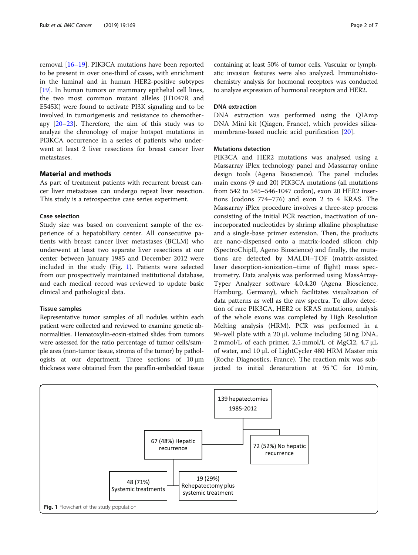<span id="page-1-0"></span>removal [[16](#page-6-0)–[19](#page-6-0)]. PIK3CA mutations have been reported to be present in over one-third of cases, with enrichment in the luminal and in human HER2-positive subtypes [[19\]](#page-6-0). In human tumors or mammary epithelial cell lines, the two most common mutant alleles (H1047R and E545K) were found to activate PI3K signaling and to be involved in tumorigenesis and resistance to chemotherapy [\[20](#page-6-0)–[23\]](#page-6-0). Therefore, the aim of this study was to analyze the chronology of major hotspot mutations in PI3KCA occurrence in a series of patients who underwent at least 2 liver resections for breast cancer liver metastases.

#### Material and methods

As part of treatment patients with recurrent breast cancer liver metastases can undergo repeat liver resection. This study is a retrospective case series experiment.

#### Case selection

Study size was based on convenient sample of the experience of a hepatobiliary center. All consecutive patients with breast cancer liver metastases (BCLM) who underwent at least two separate liver resections at our center between January 1985 and December 2012 were included in the study (Fig. 1). Patients were selected from our prospectively maintained institutional database, and each medical record was reviewed to update basic clinical and pathological data.

#### Tissue samples

Representative tumor samples of all nodules within each patient were collected and reviewed to examine genetic abnormalities. Hematoxylin-eosin-stained slides from tumors were assessed for the ratio percentage of tumor cells/sample area (non-tumor tissue, stroma of the tumor) by pathologists at our department. Three sections of 10 μm thickness were obtained from the paraffin-embedded tissue containing at least 50% of tumor cells. Vascular or lymphatic invasion features were also analyzed. Immunohistochemistry analysis for hormonal receptors was conducted to analyze expression of hormonal receptors and HER2.

#### DNA extraction

DNA extraction was performed using the QIAmp DNA Mini kit (Qiagen, France), which provides silicamembrane-based nucleic acid purification [\[20](#page-6-0)].

#### Mutations detection

PIK3CA and HER2 mutations was analysed using a Massarray iPlex technology panel and Massarray online design tools (Agena Bioscience). The panel includes main exons (9 and 20) PIK3CA mutations (all mutations from 542 to 545–546-1047 codon), exon 20 HER2 insertions (codons 774–776) and exon 2 to 4 KRAS. The Massarray iPlex procedure involves a three-step process consisting of the initial PCR reaction, inactivation of unincorporated nucleotides by shrimp alkaline phosphatase and a single-base primer extension. Then, the products are nano-dispensed onto a matrix-loaded silicon chip (SpectroChipII, Ageno Bioscience) and finally, the mutations are detected by MALDI–TOF (matrix-assisted laser desorption-ionization–time of flight) mass spectrometry. Data analysis was performed using MassArray-Typer Analyzer software 4.0.4.20 (Agena Bioscience, Hamburg, Germany), which facilitates visualization of data patterns as well as the raw spectra. To allow detection of rare PIK3CA, HER2 or KRAS mutations, analysis of the whole exons was completed by High Resolution Melting analysis (HRM). PCR was performed in a 96-well plate with a 20 μL volume including 50 ng DNA, 2 mmol/L of each primer, 2.5 mmol/L of MgCl2, 4.7 μL of water, and 10 μL of LightCycler 480 HRM Master mix (Roche Diagnostics, France). The reaction mix was subjected to initial denaturation at 95 °C for 10 min,

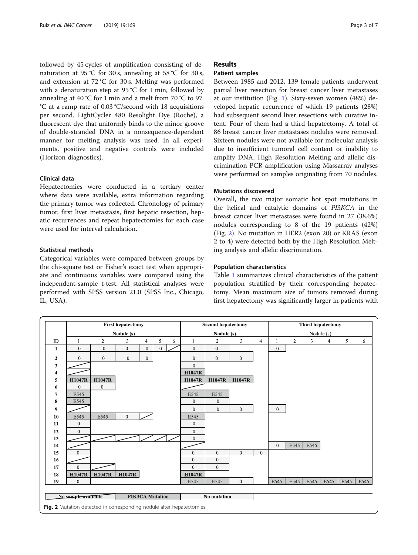<span id="page-2-0"></span>followed by 45 cycles of amplification consisting of denaturation at 95 °C for 30 s, annealing at 58 °C for 30 s, and extension at 72 °C for 30 s. Melting was performed with a denaturation step at 95 °C for 1 min, followed by annealing at 40 °C for 1 min and a melt from 70 °C to 97 °C at a ramp rate of 0.03 °C/second with 18 acquisitions per second. LightCycler 480 Resolight Dye (Roche), a fluorescent dye that uniformly binds to the minor groove of double-stranded DNA in a nonsequence-dependent manner for melting analysis was used. In all experiments, positive and negative controls were included (Horizon diagnostics).

#### Clinical data

Hepatectomies were conducted in a tertiary center where data were available, extra information regarding the primary tumor was collected. Chronology of primary tumor, first liver metastasis, first hepatic resection, hepatic recurrences and repeat hepatectomies for each case were used for interval calculation.

#### Statistical methods

Categorical variables were compared between groups by the chi-square test or Fisher's exact test when appropriate and continuous variables were compared using the independent-sample t-test. All statistical analyses were performed with SPSS version 21.0 (SPSS Inc., Chicago, IL, USA).

#### Results

#### Patient samples

Between 1985 and 2012, 139 female patients underwent partial liver resection for breast cancer liver metastases at our institution (Fig. [1](#page-1-0)). Sixty-seven women (48%) developed hepatic recurrence of which 19 patients (28%) had subsequent second liver resections with curative intent. Four of them had a third hepatectomy. A total of 86 breast cancer liver metastases nodules were removed. Sixteen nodules were not available for molecular analysis due to insufficient tumoral cell content or inability to amplify DNA. High Resolution Melting and allelic discrimination PCR amplification using Massarray analyses were performed on samples originating from 70 nodules.

#### Mutations discovered

Overall, the two major somatic hot spot mutations in the helical and catalytic domains of PI3KCA in the breast cancer liver metastases were found in 27 (38.6%) nodules corresponding to 8 of the 19 patients (42%) (Fig. 2). No mutation in HER2 (exon 20) or KRAS (exon 2 to 4) were detected both by the High Resolution Melting analysis and allelic discrimination.

#### Population characteristics

Table [1](#page-3-0) summarizes clinical characteristics of the patient population stratified by their corresponding hepatectomy. Mean maximum size of tumors removed during first hepatectomy was significantly larger in patients with

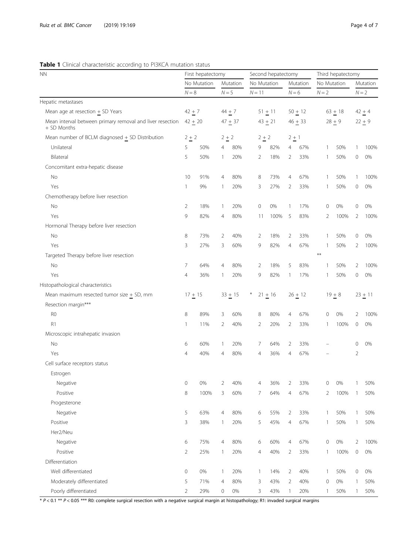#### <span id="page-3-0"></span>Table 1 Clinical characteristic according to PI3KCA mutation status

| No Mutation<br>No Mutation<br>No Mutation<br>Mutation<br>Mutation<br>Mutation<br>$N = 8$<br>$N = 5$<br>$N = 6$<br>$N = 2$<br>$N = 2$<br>$N = 11$<br>Mean age at resection $+$ SD Years<br>$42 + 7$<br>$44 + 7$<br>$51 + 11$<br>$50 + 12$<br>$63 + 18$<br>$42 + 4$<br>Mean interval between primary removal and liver resection<br>$42 + 20$<br>$28 + 9$<br>$47 + 37$<br>$43 + 21$<br>$46 + 33$<br>$22 + 9$<br>+ SD Months<br>Mean number of BCLM diagnosed $+$ SD Distribution<br>$2 + 2$<br>$2 + 2$<br>$2 + 2$<br>$2 + 1$<br>Unilateral<br>5<br>50%<br>80%<br>82%<br>67%<br>50%<br>100%<br>4<br>9<br>4<br>$\mathbf{1}$<br>1<br>5<br>50%<br>20%<br>18%<br>50%<br>0%<br>Bilateral<br>2<br>2<br>33%<br>0<br>1<br>1<br>Concomitant extra-hepatic disease<br>No<br>10<br>91%<br>80%<br>8<br>73%<br>4<br>67%<br>50%<br>100%<br>4<br>1<br>1<br>27%<br>50%<br>Yes<br>9%<br>20%<br>3<br>2<br>33%<br>0<br>0%<br>1<br>1<br>-1<br>Chemotherapy before liver resection<br>2<br>0%<br>0%<br>0%<br>No<br>18%<br>$\mathbf{1}$<br>20%<br>$\mathbf 0$<br>17%<br>0<br>0<br>1<br>9<br>82%<br>Yes<br>80%<br>100%<br>5<br>83%<br>2<br>100%<br>2<br>100%<br>4<br>11<br>Hormonal Therapy before liver resection<br>8<br>0%<br>No<br>73%<br>2<br>40%<br>2<br>18%<br>2<br>33%<br>50%<br>0<br>1<br>3<br>27%<br>3<br>60%<br>9<br>82%<br>67%<br>50%<br>$\overline{2}$<br>100%<br>Yes<br>4<br>$\overline{1}$<br>$***$<br>Targeted Therapy before liver resection<br>7<br>No<br>64%<br>80%<br>$\overline{2}$<br>18%<br>5<br>83%<br>50%<br>2<br>100%<br>4<br>1<br>82%<br>50%<br>0%<br>Yes<br>4<br>36%<br>20%<br>9<br>17%<br>0<br>1<br>1<br>1<br>Histopathological characteristics<br>Mean maximum resected tumor size $+$ SD, mm<br>$17 + 15$<br>$33 + 15$<br>$*$<br>$21 + 16$<br>$26 + 12$<br>$19 + 8$<br>$23 + 11$<br>Resection margin***<br>R <sub>0</sub><br>8<br>89%<br>0%<br>100%<br>3<br>60%<br>8<br>80%<br>67%<br>0<br>4<br>2<br>R1<br>$\overline{2}$<br>20%<br>$\mathbf{1}$<br>11%<br>2<br>40%<br>2<br>33%<br>100%<br>0<br>0%<br>1<br>Microscopic intrahepatic invasion<br>No<br>6<br>60%<br>20%<br>7<br>64%<br>33%<br>0<br>0%<br>1<br>2<br>Yes<br>4<br>40%<br>80%<br>36%<br>4<br>67%<br>2<br>4<br>$\overline{4}$<br>Cell surface receptors status<br>Estrogen<br>0%<br>40%<br>36%<br>33%<br>0%<br>50%<br>Negative<br>0<br>2<br>0<br>Λ<br>8<br>100%<br>3<br>60%<br>7<br>64%<br>67%<br>Positive<br>4<br>2<br>100%<br>50%<br>1<br>Progesterone<br>5<br>Negative<br>63%<br>80%<br>55%<br>$\overline{2}$<br>50%<br>4<br>6<br>33%<br>$\mathbf{1}$<br>50%<br>1<br>3<br>45%<br>Positive<br>38%<br>20%<br>5<br>67%<br>50%<br>50%<br>4<br>1<br>1<br>1<br>Her2/Neu<br>Negative<br>0%<br>6<br>75%<br>4<br>80%<br>6<br>60%<br>4<br>67%<br>0<br>2<br>100% | <b>NN</b>          | First hepatectomy |  |  |  | Second hepatectomy |  |  |  | Third hepatectomy |  |  |  |
|------------------------------------------------------------------------------------------------------------------------------------------------------------------------------------------------------------------------------------------------------------------------------------------------------------------------------------------------------------------------------------------------------------------------------------------------------------------------------------------------------------------------------------------------------------------------------------------------------------------------------------------------------------------------------------------------------------------------------------------------------------------------------------------------------------------------------------------------------------------------------------------------------------------------------------------------------------------------------------------------------------------------------------------------------------------------------------------------------------------------------------------------------------------------------------------------------------------------------------------------------------------------------------------------------------------------------------------------------------------------------------------------------------------------------------------------------------------------------------------------------------------------------------------------------------------------------------------------------------------------------------------------------------------------------------------------------------------------------------------------------------------------------------------------------------------------------------------------------------------------------------------------------------------------------------------------------------------------------------------------------------------------------------------------------------------------------------------------------------------------------------------------------------------------------------------------------------------------------------------------------------------------------------------------------------------------------------------------------------------------------------------------------------------------------------------------------------------------------------------------------------------------------------------------------------------------------------------------------------------------------------------------------------------------------------------------------------------------|--------------------|-------------------|--|--|--|--------------------|--|--|--|-------------------|--|--|--|
|                                                                                                                                                                                                                                                                                                                                                                                                                                                                                                                                                                                                                                                                                                                                                                                                                                                                                                                                                                                                                                                                                                                                                                                                                                                                                                                                                                                                                                                                                                                                                                                                                                                                                                                                                                                                                                                                                                                                                                                                                                                                                                                                                                                                                                                                                                                                                                                                                                                                                                                                                                                                                                                                                                                        |                    |                   |  |  |  |                    |  |  |  |                   |  |  |  |
|                                                                                                                                                                                                                                                                                                                                                                                                                                                                                                                                                                                                                                                                                                                                                                                                                                                                                                                                                                                                                                                                                                                                                                                                                                                                                                                                                                                                                                                                                                                                                                                                                                                                                                                                                                                                                                                                                                                                                                                                                                                                                                                                                                                                                                                                                                                                                                                                                                                                                                                                                                                                                                                                                                                        |                    |                   |  |  |  |                    |  |  |  |                   |  |  |  |
|                                                                                                                                                                                                                                                                                                                                                                                                                                                                                                                                                                                                                                                                                                                                                                                                                                                                                                                                                                                                                                                                                                                                                                                                                                                                                                                                                                                                                                                                                                                                                                                                                                                                                                                                                                                                                                                                                                                                                                                                                                                                                                                                                                                                                                                                                                                                                                                                                                                                                                                                                                                                                                                                                                                        | Hepatic metastases |                   |  |  |  |                    |  |  |  |                   |  |  |  |
|                                                                                                                                                                                                                                                                                                                                                                                                                                                                                                                                                                                                                                                                                                                                                                                                                                                                                                                                                                                                                                                                                                                                                                                                                                                                                                                                                                                                                                                                                                                                                                                                                                                                                                                                                                                                                                                                                                                                                                                                                                                                                                                                                                                                                                                                                                                                                                                                                                                                                                                                                                                                                                                                                                                        |                    |                   |  |  |  |                    |  |  |  |                   |  |  |  |
|                                                                                                                                                                                                                                                                                                                                                                                                                                                                                                                                                                                                                                                                                                                                                                                                                                                                                                                                                                                                                                                                                                                                                                                                                                                                                                                                                                                                                                                                                                                                                                                                                                                                                                                                                                                                                                                                                                                                                                                                                                                                                                                                                                                                                                                                                                                                                                                                                                                                                                                                                                                                                                                                                                                        |                    |                   |  |  |  |                    |  |  |  |                   |  |  |  |
|                                                                                                                                                                                                                                                                                                                                                                                                                                                                                                                                                                                                                                                                                                                                                                                                                                                                                                                                                                                                                                                                                                                                                                                                                                                                                                                                                                                                                                                                                                                                                                                                                                                                                                                                                                                                                                                                                                                                                                                                                                                                                                                                                                                                                                                                                                                                                                                                                                                                                                                                                                                                                                                                                                                        |                    |                   |  |  |  |                    |  |  |  |                   |  |  |  |
|                                                                                                                                                                                                                                                                                                                                                                                                                                                                                                                                                                                                                                                                                                                                                                                                                                                                                                                                                                                                                                                                                                                                                                                                                                                                                                                                                                                                                                                                                                                                                                                                                                                                                                                                                                                                                                                                                                                                                                                                                                                                                                                                                                                                                                                                                                                                                                                                                                                                                                                                                                                                                                                                                                                        |                    |                   |  |  |  |                    |  |  |  |                   |  |  |  |
|                                                                                                                                                                                                                                                                                                                                                                                                                                                                                                                                                                                                                                                                                                                                                                                                                                                                                                                                                                                                                                                                                                                                                                                                                                                                                                                                                                                                                                                                                                                                                                                                                                                                                                                                                                                                                                                                                                                                                                                                                                                                                                                                                                                                                                                                                                                                                                                                                                                                                                                                                                                                                                                                                                                        |                    |                   |  |  |  |                    |  |  |  |                   |  |  |  |
|                                                                                                                                                                                                                                                                                                                                                                                                                                                                                                                                                                                                                                                                                                                                                                                                                                                                                                                                                                                                                                                                                                                                                                                                                                                                                                                                                                                                                                                                                                                                                                                                                                                                                                                                                                                                                                                                                                                                                                                                                                                                                                                                                                                                                                                                                                                                                                                                                                                                                                                                                                                                                                                                                                                        |                    |                   |  |  |  |                    |  |  |  |                   |  |  |  |
|                                                                                                                                                                                                                                                                                                                                                                                                                                                                                                                                                                                                                                                                                                                                                                                                                                                                                                                                                                                                                                                                                                                                                                                                                                                                                                                                                                                                                                                                                                                                                                                                                                                                                                                                                                                                                                                                                                                                                                                                                                                                                                                                                                                                                                                                                                                                                                                                                                                                                                                                                                                                                                                                                                                        |                    |                   |  |  |  |                    |  |  |  |                   |  |  |  |
|                                                                                                                                                                                                                                                                                                                                                                                                                                                                                                                                                                                                                                                                                                                                                                                                                                                                                                                                                                                                                                                                                                                                                                                                                                                                                                                                                                                                                                                                                                                                                                                                                                                                                                                                                                                                                                                                                                                                                                                                                                                                                                                                                                                                                                                                                                                                                                                                                                                                                                                                                                                                                                                                                                                        |                    |                   |  |  |  |                    |  |  |  |                   |  |  |  |
|                                                                                                                                                                                                                                                                                                                                                                                                                                                                                                                                                                                                                                                                                                                                                                                                                                                                                                                                                                                                                                                                                                                                                                                                                                                                                                                                                                                                                                                                                                                                                                                                                                                                                                                                                                                                                                                                                                                                                                                                                                                                                                                                                                                                                                                                                                                                                                                                                                                                                                                                                                                                                                                                                                                        |                    |                   |  |  |  |                    |  |  |  |                   |  |  |  |
|                                                                                                                                                                                                                                                                                                                                                                                                                                                                                                                                                                                                                                                                                                                                                                                                                                                                                                                                                                                                                                                                                                                                                                                                                                                                                                                                                                                                                                                                                                                                                                                                                                                                                                                                                                                                                                                                                                                                                                                                                                                                                                                                                                                                                                                                                                                                                                                                                                                                                                                                                                                                                                                                                                                        |                    |                   |  |  |  |                    |  |  |  |                   |  |  |  |
|                                                                                                                                                                                                                                                                                                                                                                                                                                                                                                                                                                                                                                                                                                                                                                                                                                                                                                                                                                                                                                                                                                                                                                                                                                                                                                                                                                                                                                                                                                                                                                                                                                                                                                                                                                                                                                                                                                                                                                                                                                                                                                                                                                                                                                                                                                                                                                                                                                                                                                                                                                                                                                                                                                                        |                    |                   |  |  |  |                    |  |  |  |                   |  |  |  |
|                                                                                                                                                                                                                                                                                                                                                                                                                                                                                                                                                                                                                                                                                                                                                                                                                                                                                                                                                                                                                                                                                                                                                                                                                                                                                                                                                                                                                                                                                                                                                                                                                                                                                                                                                                                                                                                                                                                                                                                                                                                                                                                                                                                                                                                                                                                                                                                                                                                                                                                                                                                                                                                                                                                        |                    |                   |  |  |  |                    |  |  |  |                   |  |  |  |
|                                                                                                                                                                                                                                                                                                                                                                                                                                                                                                                                                                                                                                                                                                                                                                                                                                                                                                                                                                                                                                                                                                                                                                                                                                                                                                                                                                                                                                                                                                                                                                                                                                                                                                                                                                                                                                                                                                                                                                                                                                                                                                                                                                                                                                                                                                                                                                                                                                                                                                                                                                                                                                                                                                                        |                    |                   |  |  |  |                    |  |  |  |                   |  |  |  |
|                                                                                                                                                                                                                                                                                                                                                                                                                                                                                                                                                                                                                                                                                                                                                                                                                                                                                                                                                                                                                                                                                                                                                                                                                                                                                                                                                                                                                                                                                                                                                                                                                                                                                                                                                                                                                                                                                                                                                                                                                                                                                                                                                                                                                                                                                                                                                                                                                                                                                                                                                                                                                                                                                                                        |                    |                   |  |  |  |                    |  |  |  |                   |  |  |  |
|                                                                                                                                                                                                                                                                                                                                                                                                                                                                                                                                                                                                                                                                                                                                                                                                                                                                                                                                                                                                                                                                                                                                                                                                                                                                                                                                                                                                                                                                                                                                                                                                                                                                                                                                                                                                                                                                                                                                                                                                                                                                                                                                                                                                                                                                                                                                                                                                                                                                                                                                                                                                                                                                                                                        |                    |                   |  |  |  |                    |  |  |  |                   |  |  |  |
|                                                                                                                                                                                                                                                                                                                                                                                                                                                                                                                                                                                                                                                                                                                                                                                                                                                                                                                                                                                                                                                                                                                                                                                                                                                                                                                                                                                                                                                                                                                                                                                                                                                                                                                                                                                                                                                                                                                                                                                                                                                                                                                                                                                                                                                                                                                                                                                                                                                                                                                                                                                                                                                                                                                        |                    |                   |  |  |  |                    |  |  |  |                   |  |  |  |
|                                                                                                                                                                                                                                                                                                                                                                                                                                                                                                                                                                                                                                                                                                                                                                                                                                                                                                                                                                                                                                                                                                                                                                                                                                                                                                                                                                                                                                                                                                                                                                                                                                                                                                                                                                                                                                                                                                                                                                                                                                                                                                                                                                                                                                                                                                                                                                                                                                                                                                                                                                                                                                                                                                                        |                    |                   |  |  |  |                    |  |  |  |                   |  |  |  |
|                                                                                                                                                                                                                                                                                                                                                                                                                                                                                                                                                                                                                                                                                                                                                                                                                                                                                                                                                                                                                                                                                                                                                                                                                                                                                                                                                                                                                                                                                                                                                                                                                                                                                                                                                                                                                                                                                                                                                                                                                                                                                                                                                                                                                                                                                                                                                                                                                                                                                                                                                                                                                                                                                                                        |                    |                   |  |  |  |                    |  |  |  |                   |  |  |  |
|                                                                                                                                                                                                                                                                                                                                                                                                                                                                                                                                                                                                                                                                                                                                                                                                                                                                                                                                                                                                                                                                                                                                                                                                                                                                                                                                                                                                                                                                                                                                                                                                                                                                                                                                                                                                                                                                                                                                                                                                                                                                                                                                                                                                                                                                                                                                                                                                                                                                                                                                                                                                                                                                                                                        |                    |                   |  |  |  |                    |  |  |  |                   |  |  |  |
|                                                                                                                                                                                                                                                                                                                                                                                                                                                                                                                                                                                                                                                                                                                                                                                                                                                                                                                                                                                                                                                                                                                                                                                                                                                                                                                                                                                                                                                                                                                                                                                                                                                                                                                                                                                                                                                                                                                                                                                                                                                                                                                                                                                                                                                                                                                                                                                                                                                                                                                                                                                                                                                                                                                        |                    |                   |  |  |  |                    |  |  |  |                   |  |  |  |
|                                                                                                                                                                                                                                                                                                                                                                                                                                                                                                                                                                                                                                                                                                                                                                                                                                                                                                                                                                                                                                                                                                                                                                                                                                                                                                                                                                                                                                                                                                                                                                                                                                                                                                                                                                                                                                                                                                                                                                                                                                                                                                                                                                                                                                                                                                                                                                                                                                                                                                                                                                                                                                                                                                                        |                    |                   |  |  |  |                    |  |  |  |                   |  |  |  |
|                                                                                                                                                                                                                                                                                                                                                                                                                                                                                                                                                                                                                                                                                                                                                                                                                                                                                                                                                                                                                                                                                                                                                                                                                                                                                                                                                                                                                                                                                                                                                                                                                                                                                                                                                                                                                                                                                                                                                                                                                                                                                                                                                                                                                                                                                                                                                                                                                                                                                                                                                                                                                                                                                                                        |                    |                   |  |  |  |                    |  |  |  |                   |  |  |  |
|                                                                                                                                                                                                                                                                                                                                                                                                                                                                                                                                                                                                                                                                                                                                                                                                                                                                                                                                                                                                                                                                                                                                                                                                                                                                                                                                                                                                                                                                                                                                                                                                                                                                                                                                                                                                                                                                                                                                                                                                                                                                                                                                                                                                                                                                                                                                                                                                                                                                                                                                                                                                                                                                                                                        |                    |                   |  |  |  |                    |  |  |  |                   |  |  |  |
|                                                                                                                                                                                                                                                                                                                                                                                                                                                                                                                                                                                                                                                                                                                                                                                                                                                                                                                                                                                                                                                                                                                                                                                                                                                                                                                                                                                                                                                                                                                                                                                                                                                                                                                                                                                                                                                                                                                                                                                                                                                                                                                                                                                                                                                                                                                                                                                                                                                                                                                                                                                                                                                                                                                        |                    |                   |  |  |  |                    |  |  |  |                   |  |  |  |
|                                                                                                                                                                                                                                                                                                                                                                                                                                                                                                                                                                                                                                                                                                                                                                                                                                                                                                                                                                                                                                                                                                                                                                                                                                                                                                                                                                                                                                                                                                                                                                                                                                                                                                                                                                                                                                                                                                                                                                                                                                                                                                                                                                                                                                                                                                                                                                                                                                                                                                                                                                                                                                                                                                                        |                    |                   |  |  |  |                    |  |  |  |                   |  |  |  |
|                                                                                                                                                                                                                                                                                                                                                                                                                                                                                                                                                                                                                                                                                                                                                                                                                                                                                                                                                                                                                                                                                                                                                                                                                                                                                                                                                                                                                                                                                                                                                                                                                                                                                                                                                                                                                                                                                                                                                                                                                                                                                                                                                                                                                                                                                                                                                                                                                                                                                                                                                                                                                                                                                                                        |                    |                   |  |  |  |                    |  |  |  |                   |  |  |  |
|                                                                                                                                                                                                                                                                                                                                                                                                                                                                                                                                                                                                                                                                                                                                                                                                                                                                                                                                                                                                                                                                                                                                                                                                                                                                                                                                                                                                                                                                                                                                                                                                                                                                                                                                                                                                                                                                                                                                                                                                                                                                                                                                                                                                                                                                                                                                                                                                                                                                                                                                                                                                                                                                                                                        |                    |                   |  |  |  |                    |  |  |  |                   |  |  |  |
|                                                                                                                                                                                                                                                                                                                                                                                                                                                                                                                                                                                                                                                                                                                                                                                                                                                                                                                                                                                                                                                                                                                                                                                                                                                                                                                                                                                                                                                                                                                                                                                                                                                                                                                                                                                                                                                                                                                                                                                                                                                                                                                                                                                                                                                                                                                                                                                                                                                                                                                                                                                                                                                                                                                        |                    |                   |  |  |  |                    |  |  |  |                   |  |  |  |
|                                                                                                                                                                                                                                                                                                                                                                                                                                                                                                                                                                                                                                                                                                                                                                                                                                                                                                                                                                                                                                                                                                                                                                                                                                                                                                                                                                                                                                                                                                                                                                                                                                                                                                                                                                                                                                                                                                                                                                                                                                                                                                                                                                                                                                                                                                                                                                                                                                                                                                                                                                                                                                                                                                                        |                    |                   |  |  |  |                    |  |  |  |                   |  |  |  |
|                                                                                                                                                                                                                                                                                                                                                                                                                                                                                                                                                                                                                                                                                                                                                                                                                                                                                                                                                                                                                                                                                                                                                                                                                                                                                                                                                                                                                                                                                                                                                                                                                                                                                                                                                                                                                                                                                                                                                                                                                                                                                                                                                                                                                                                                                                                                                                                                                                                                                                                                                                                                                                                                                                                        |                    |                   |  |  |  |                    |  |  |  |                   |  |  |  |
|                                                                                                                                                                                                                                                                                                                                                                                                                                                                                                                                                                                                                                                                                                                                                                                                                                                                                                                                                                                                                                                                                                                                                                                                                                                                                                                                                                                                                                                                                                                                                                                                                                                                                                                                                                                                                                                                                                                                                                                                                                                                                                                                                                                                                                                                                                                                                                                                                                                                                                                                                                                                                                                                                                                        |                    |                   |  |  |  |                    |  |  |  |                   |  |  |  |
|                                                                                                                                                                                                                                                                                                                                                                                                                                                                                                                                                                                                                                                                                                                                                                                                                                                                                                                                                                                                                                                                                                                                                                                                                                                                                                                                                                                                                                                                                                                                                                                                                                                                                                                                                                                                                                                                                                                                                                                                                                                                                                                                                                                                                                                                                                                                                                                                                                                                                                                                                                                                                                                                                                                        |                    |                   |  |  |  |                    |  |  |  |                   |  |  |  |
|                                                                                                                                                                                                                                                                                                                                                                                                                                                                                                                                                                                                                                                                                                                                                                                                                                                                                                                                                                                                                                                                                                                                                                                                                                                                                                                                                                                                                                                                                                                                                                                                                                                                                                                                                                                                                                                                                                                                                                                                                                                                                                                                                                                                                                                                                                                                                                                                                                                                                                                                                                                                                                                                                                                        |                    |                   |  |  |  |                    |  |  |  |                   |  |  |  |
|                                                                                                                                                                                                                                                                                                                                                                                                                                                                                                                                                                                                                                                                                                                                                                                                                                                                                                                                                                                                                                                                                                                                                                                                                                                                                                                                                                                                                                                                                                                                                                                                                                                                                                                                                                                                                                                                                                                                                                                                                                                                                                                                                                                                                                                                                                                                                                                                                                                                                                                                                                                                                                                                                                                        |                    |                   |  |  |  |                    |  |  |  |                   |  |  |  |
| Positive<br>2<br>25%<br>20%<br>40%<br>$\overline{2}$<br>33%<br>100%<br>0<br>0%<br>$\mathbf{1}$<br>$\overline{4}$<br>1                                                                                                                                                                                                                                                                                                                                                                                                                                                                                                                                                                                                                                                                                                                                                                                                                                                                                                                                                                                                                                                                                                                                                                                                                                                                                                                                                                                                                                                                                                                                                                                                                                                                                                                                                                                                                                                                                                                                                                                                                                                                                                                                                                                                                                                                                                                                                                                                                                                                                                                                                                                                  |                    |                   |  |  |  |                    |  |  |  |                   |  |  |  |
| Differentiation                                                                                                                                                                                                                                                                                                                                                                                                                                                                                                                                                                                                                                                                                                                                                                                                                                                                                                                                                                                                                                                                                                                                                                                                                                                                                                                                                                                                                                                                                                                                                                                                                                                                                                                                                                                                                                                                                                                                                                                                                                                                                                                                                                                                                                                                                                                                                                                                                                                                                                                                                                                                                                                                                                        |                    |                   |  |  |  |                    |  |  |  |                   |  |  |  |
| Well differentiated<br>$\mathbb O$<br>0%<br>20%<br>0%<br>1<br>$\mathbf{1}$<br>14%<br>2<br>40%<br>50%<br>0<br>1                                                                                                                                                                                                                                                                                                                                                                                                                                                                                                                                                                                                                                                                                                                                                                                                                                                                                                                                                                                                                                                                                                                                                                                                                                                                                                                                                                                                                                                                                                                                                                                                                                                                                                                                                                                                                                                                                                                                                                                                                                                                                                                                                                                                                                                                                                                                                                                                                                                                                                                                                                                                         |                    |                   |  |  |  |                    |  |  |  |                   |  |  |  |
| Moderately differentiated<br>5<br>71%<br>80%<br>43%<br>40%<br>$0\%$<br>3<br>2<br>0<br>50%<br>4<br>1                                                                                                                                                                                                                                                                                                                                                                                                                                                                                                                                                                                                                                                                                                                                                                                                                                                                                                                                                                                                                                                                                                                                                                                                                                                                                                                                                                                                                                                                                                                                                                                                                                                                                                                                                                                                                                                                                                                                                                                                                                                                                                                                                                                                                                                                                                                                                                                                                                                                                                                                                                                                                    |                    |                   |  |  |  |                    |  |  |  |                   |  |  |  |
| Poorly differentiated<br>$\overline{2}$<br>29%<br>0%<br>3<br>20%<br>50%<br>50%<br>0<br>43%<br>1<br>$\mathbf{1}$<br>$\mathbf{1}$                                                                                                                                                                                                                                                                                                                                                                                                                                                                                                                                                                                                                                                                                                                                                                                                                                                                                                                                                                                                                                                                                                                                                                                                                                                                                                                                                                                                                                                                                                                                                                                                                                                                                                                                                                                                                                                                                                                                                                                                                                                                                                                                                                                                                                                                                                                                                                                                                                                                                                                                                                                        |                    |                   |  |  |  |                    |  |  |  |                   |  |  |  |

 $* P < 0.1 ** P < 0.05***$  R0: complete surgical resection with a negative surgical margin at histopathology; R1: invaded surgical margins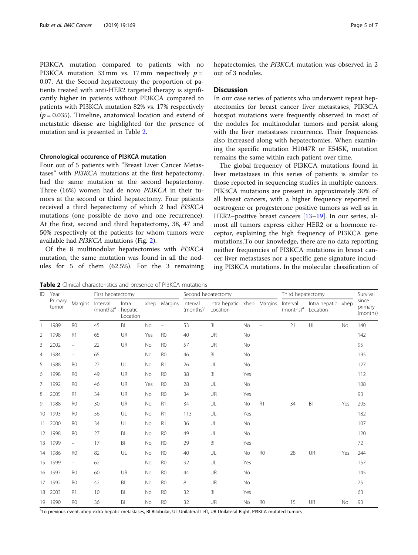PI3KCA mutation compared to patients with no PI3KCA mutation 33 mm vs. 17 mm respectively  $p =$ 0.07. At the Second hepatectomy the proportion of patients treated with anti-HER2 targeted therapy is significantly higher in patients without PI3KCA compared to patients with PI3KCA mutation 82% vs. 17% respectively  $(p = 0.035)$ . Timeline, anatomical location and extend of metastatic disease are highlighted for the presence of mutation and is presented in Table 2.

#### Chronological occurence of PI3KCA mutation

Four out of 5 patients with "Breast Liver Cancer Metastases" with PI3KCA mutations at the first hepatectomy, had the same mutation at the second hepatectomy. Three (16%) women had de novo PI3KCA in their tumors at the second or third hepatectomy. Four patients received a third hepatectomy of which 2 had PI3KCA mutations (one possible de novo and one recurrence). At the first, second and third hepatectomy, 38, 47 and 50% respectively of the patients for whom tumors were available had PI3KCA mutations (Fig. [2](#page-2-0)).

Of the 8 multinodular hepatectomies with PI3KCA mutation, the same mutation was found in all the nodules for 5 of them (62.5%). For the 3 remaining

Table 2 Clinical characteristics and presence of PI3KCA mutations

<sup>a</sup>To previous event, xhep extra hepatic metastases, BI Bilobular, UL Unilateral Left, UR Unilateral Right, PI3KCA mutated tumors

| ID              | Year<br>Primary<br>tumor | Margins                  | First hepatectomy        |                              |      |                | Second hepatectomy       |                                |     | Third hepatectomy        | Survival                 |                                |     |                              |
|-----------------|--------------------------|--------------------------|--------------------------|------------------------------|------|----------------|--------------------------|--------------------------------|-----|--------------------------|--------------------------|--------------------------------|-----|------------------------------|
|                 |                          |                          | Interval<br>$(months)^a$ | Intra<br>hepatic<br>Location | xhep | Margins        | Interval<br>$(months)^a$ | Intra hepatic xhep<br>Location |     | Margins                  | Interval<br>$(months)^a$ | Intra hepatic xhep<br>Location |     | since<br>primary<br>(months) |
| 1               | 1989                     | R <sub>0</sub>           | 45                       | BI                           | No   | $\equiv$       | 53                       | BI                             | No  | $\overline{\phantom{0}}$ | 21                       | UL                             | No  | 140                          |
| 2               | 1998                     | R1                       | 65                       | UR                           | Yes  | R <sub>0</sub> | 40                       | UR                             | No  |                          |                          |                                |     | 142                          |
| 3               | 2002                     | $\qquad \qquad -$        | 22                       | UR                           | No   | R <sub>0</sub> | 57                       | UR                             | No  |                          |                          |                                |     | 95                           |
| 4               | 1984                     | $\qquad \qquad -$        | 65                       |                              | No   | R <sub>0</sub> | 46                       | BI                             | No  |                          |                          |                                |     | 195                          |
| 5               | 1988                     | R <sub>0</sub>           | 27                       | UL                           | No   | R1             | 26                       | UL                             | No  |                          |                          |                                |     | 127                          |
| 6               | 1998                     | R <sub>0</sub>           | 49                       | UR                           | No   | R <sub>0</sub> | 38                       | B <sub>l</sub>                 | Yes |                          |                          |                                |     | 112                          |
| 7               | 1992                     | R <sub>0</sub>           | 46                       | UR                           | Yes  | R <sub>0</sub> | 28                       | UL                             | No  |                          |                          |                                |     | 108                          |
| 8               | 2005                     | R1                       | 34                       | UR                           | No   | R <sub>0</sub> | 34                       | UR                             | Yes |                          |                          |                                |     | 93                           |
| 9               | 1988                     | R <sub>0</sub>           | 30                       | UR                           | No   | R1             | 34                       | UL                             | No  | R1                       | 34                       | B <sub>l</sub>                 | Yes | 205                          |
| 10              | 1993                     | R <sub>0</sub>           | 56                       | UL                           | No   | R1             | 113                      | UL                             | Yes |                          |                          |                                |     | 182                          |
| 11              | 2000                     | R <sub>0</sub>           | 34                       | UL                           | No   | R1             | 36                       | UL                             | No  |                          |                          |                                |     | 107                          |
|                 | 12 1998                  | R <sub>0</sub>           | 27                       | BI                           | No   | R <sub>0</sub> | 49                       | UL                             | No  |                          |                          |                                |     | 120                          |
| 13 <sup>2</sup> | 1999                     | $\overline{\phantom{0}}$ | 17                       | BI                           | No   | R <sub>0</sub> | 29                       | B <sub>l</sub>                 | Yes |                          |                          |                                |     | 72                           |
|                 | 14 1986                  | R <sub>0</sub>           | 82                       | UL                           | No   | R <sub>0</sub> | 40                       | UL                             | No  | R <sub>0</sub>           | 28                       | UR                             | Yes | 244                          |
| 15              | 1999                     | $\qquad \qquad -$        | 62                       |                              | No   | R <sub>0</sub> | 92                       | UL                             | Yes |                          |                          |                                |     | 157                          |
|                 | 16 1997                  | R <sub>0</sub>           | 60                       | UR                           | No   | R <sub>0</sub> | 44                       | UR                             | No  |                          |                          |                                |     | 145                          |
|                 | 17 1992                  | R <sub>0</sub>           | 42                       | BI                           | No   | R <sub>0</sub> | 8                        | UR                             | No  |                          |                          |                                |     | 75                           |
|                 | 18 2003                  | R1                       | 10                       | BI                           | No   | R <sub>0</sub> | 32                       | BI                             | Yes |                          |                          |                                |     | 63                           |
|                 | 19 1990                  | R <sub>0</sub>           | 36                       | BI                           | No   | R <sub>0</sub> | 32                       | UR                             | No  | R <sub>0</sub>           | 15                       | <b>UR</b>                      | No  | 93                           |

hepatectomies, the PI3KCA mutation was observed in 2 out of 3 nodules.

#### **Discussion**

In our case series of patients who underwent repeat hepatectomies for breast cancer liver metastases, PIK3CA hotspot mutations were frequently observed in most of the nodules for multinodular tumors and persist along with the liver metastases recurrence. Their frequencies also increased along with hepatectomies. When examining the specific mutation H1047R or E545K, mutation remains the same within each patient over time.

The global frequency of PI3KCA mutations found in liver metastases in this series of patients is similar to those reported in sequencing studies in multiple cancers. PIK3CA mutations are present in approximately 30% of all breast cancers, with a higher frequency reported in oestrogene or progesterone positive tumors as well as in HER2–positive breast cancers [\[13](#page-6-0)–[19\]](#page-6-0). In our series, almost all tumors express either HER2 or a hormone receptor, explaining the high frequency of PI3KCA gene mutations.To our knowledge, there are no data reporting neither frequencies of PI3KCA mutations in breast cancer liver metastases nor a specific gene signature including PI3KCA mutations. In the molecular classification of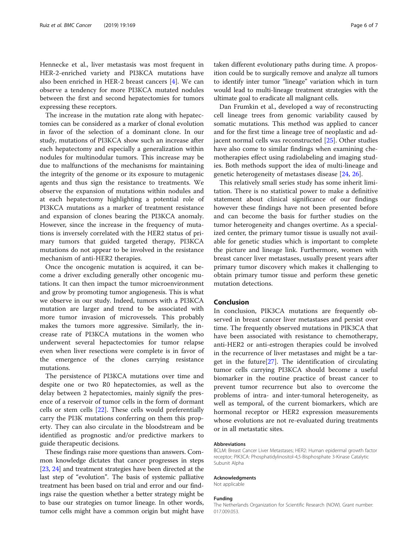Hennecke et al., liver metastasis was most frequent in HER-2-enriched variety and PI3KCA mutations have also been enriched in HER-2 breast cancers [[4\]](#page-6-0). We can observe a tendency for more PI3KCA mutated nodules between the first and second hepatectomies for tumors expressing these receptors.

The increase in the mutation rate along with hepatectomies can be considered as a marker of clonal evolution in favor of the selection of a dominant clone. In our study, mutations of PI3KCA show such an increase after each hepatectomy and especially a generalization within nodules for multinodular tumors. This increase may be due to malfunctions of the mechanisms for maintaining the integrity of the genome or its exposure to mutagenic agents and thus sign the resistance to treatments. We observe the expansion of mutations within nodules and at each hepatectomy highlighting a potential role of PI3KCA mutations as a marker of treatment resistance and expansion of clones bearing the PI3KCA anomaly. However, since the increase in the frequency of mutations is inversely correlated with the HER2 status of primary tumors that guided targeted therapy, PI3KCA mutations do not appear to be involved in the resistance mechanism of anti-HER2 therapies.

Once the oncogenic mutation is acquired, it can become a driver excluding generally other oncogenic mutations. It can then impact the tumor microenvironment and grow by promoting tumor angiogenesis. This is what we observe in our study. Indeed, tumors with a PI3KCA mutation are larger and trend to be associated with more tumor invasion of microvessels. This probably makes the tumors more aggressive. Similarly, the increase rate of PI3KCA mutations in the women who underwent several hepactectomies for tumor relapse even when liver resections were complete is in favor of the emergence of the clones carrying resistance mutations.

The persistence of PI3KCA mutations over time and despite one or two R0 hepatectomies, as well as the delay between 2 hepatectomies, mainly signify the presence of a reservoir of tumor cells in the form of dormant cells or stem cells [\[22\]](#page-6-0). These cells would preferentially carry the PI3K mutations conferring on them this property. They can also circulate in the bloodstream and be identified as prognostic and/or predictive markers to guide therapeutic decisions.

These findings raise more questions than answers. Common knowledge dictates that cancer progresses in steps [[23](#page-6-0), [24\]](#page-6-0) and treatment strategies have been directed at the last step of "evolution". The basis of systemic palliative treatment has been based on trial and error and our findings raise the question whether a better strategy might be to base our strategies on tumor lineage. In other words, tumor cells might have a common origin but might have

taken different evolutionary paths during time. A proposition could be to surgically remove and analyze all tumors to identify inter tumor "lineage" variation which in turn would lead to multi-lineage treatment strategies with the ultimate goal to eradicate all malignant cells.

Dan Frumkin et al., developed a way of reconstructing cell lineage trees from genomic variability caused by somatic mutations. This method was applied to cancer and for the first time a lineage tree of neoplastic and adjacent normal cells was reconstructed [\[25\]](#page-6-0). Other studies have also come to similar findings when examining chemotherapies effect using radiolabeling and imaging studies. Both methods support the idea of multi-lineage and genetic heterogeneity of metastases disease [\[24,](#page-6-0) [26\]](#page-6-0).

This relatively small series study has some inherit limitation. There is no statistical power to make a definitive statement about clinical significance of our findings however these findings have not been presented before and can become the basis for further studies on the tumor heterogeneity and changes overtime. As a specialized center, the primary tumor tissue is usually not available for genetic studies which is important to complete the picture and lineage link. Furthermore, women with breast cancer liver metastases, usually present years after primary tumor discovery which makes it challenging to obtain primary tumor tissue and perform these genetic mutation detections.

#### Conclusion

In conclusion, PIK3CA mutations are frequently observed in breast cancer liver metastases and persist over time. The frequently observed mutations in PIK3CA that have been associated with resistance to chemotherapy, anti-HER2 or anti-estrogen therapies could be involved in the recurrence of liver metastases and might be a target in the future $[27]$  $[27]$ . The identification of circulating tumor cells carrying PI3KCA should become a useful biomarker in the routine practice of breast cancer to prevent tumor recurrence but also to overcome the problems of intra- and inter-tumoral heterogeneity, as well as temporal, of the current biomarkers, which are hormonal receptor or HER2 expression measurements whose evolutions are not re-evaluated during treatments or in all metastatic sites.

#### Abbreviations

BCLM: Breast Cancer Liver Metastases; HER2: Human epidermal growth factor receptor; PIK3CA: Phosphatidylinositol-4,5-Bisphosphate 3-Kinase Catalytic Subunit Alpha

#### Acknowledgments

Not applicable

#### Funding

The Netherlands Organization for Scientific Research (NOW). Grant number: 017.009.053.